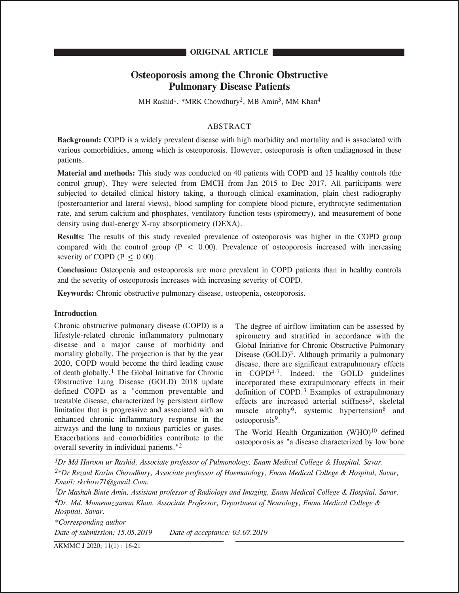### **ORIGINAL ARTICLE**

# **Osteoporosis among the Chronic Obstructive Pulmonary Disease Patients**

MH Rashid<sup>1</sup>, \*MRK Chowdhury<sup>2</sup>, MB Amin<sup>3</sup>, MM Khan<sup>4</sup>

### ABSTRACT

**Background:** COPD is a widely prevalent disease with high morbidity and mortality and is associated with various comorbidities, among which is osteoporosis. However, osteoporosis is often undiagnosed in these patients.

**Material and methods:** This study was conducted on 40 patients with COPD and 15 healthy controls (the control group). They were selected from EMCH from Jan 2015 to Dec 2017. All participants were subjected to detailed clinical history taking, a thorough clinical examination, plain chest radiography (posteroanterior and lateral views), blood sampling for complete blood picture, erythrocyte sedimentation rate, and serum calcium and phosphates, ventilatory function tests (spirometry), and measurement of bone density using dual-energy X-ray absorptiometry (DEXA).

**Results:** The results of this study revealed prevalence of osteoporosis was higher in the COPD group compared with the control group (P  $\leq$  0.00). Prevalence of osteoporosis increased with increasing severity of COPD ( $P \leq 0.00$ ).

**Conclusion:** Osteopenia and osteoporosis are more prevalent in COPD patients than in healthy controls and the severity of osteoporosis increases with increasing severity of COPD.

**Keywords:** Chronic obstructive pulmonary disease, osteopenia, osteoporosis.

### **Introduction**

Chronic obstructive pulmonary disease (COPD) is a lifestyle-related chronic inflammatory pulmonary disease and a major cause of morbidity and mortality globally. The projection is that by the year 2020, COPD would become the third leading cause of death globally.1 The Global Initiative for Chronic Obstructive Lung Disease (GOLD) 2018 update defined COPD as a "common preventable and treatable disease, characterized by persistent airflow limitation that is progressive and associated with an enhanced chronic inflammatory response in the airways and the lung to noxious particles or gases. Exacerbations and comorbidities contribute to the overall severity in individual patients."2

The degree of airflow limitation can be assessed by spirometry and stratified in accordance with the Global Initiative for Chronic Obstructive Pulmonary Disease  $(GOLD)<sup>3</sup>$ . Although primarily a pulmonary disease, there are significant extrapulmonary effects in COPD4-7. Indeed, the GOLD guidelines incorporated these extrapulmonary effects in their definition of COPD.<sup>3</sup> Examples of extrapulmonary effects are increased arterial stiffness<sup>5</sup>, skeletal muscle atrophy<sup>6</sup>, systemic hypertension<sup>8</sup> and osteoporosis<sup>9</sup>.

The World Health Organization  $(WHO)^{10}$  defined osteoporosis as "a disease characterized by low bone

*1Dr Md Haroon ur Rashid, Associate professor of Pulmonology, Enam Medical College & Hospital, Savar. 2\*Dr Rezaul Karim Chowdhury, Associate professor of Haematology, Enam Medical College & Hospital, Savar, Email: rkchow71@gmail.Com.*

*3Dr Mashah Binte Amin, Assistant professor of Radiology and Imaging, Enam Medical College & Hospital, Savar. 4Dr. Md. Momenuzzaman Khan, Associate Professor, Department of Neurology, Enam Medical College & Hospital, Savar.*

*\*Corresponding author Date of submission: 15.05.2019 Date of acceptance: 03.07.2019* 

AKMMC J 2020; 11(1) : 16-21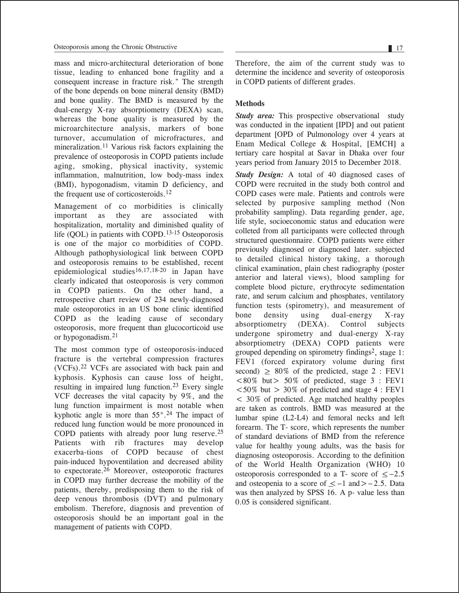mass and micro-architectural deterioration of bone tissue, leading to enhanced bone fragility and a consequent increase in fracture risk." The strength of the bone depends on bone mineral density (BMD) and bone quality. The BMD is measured by the dual-energy X-ray absorptiometry (DEXA) scan, whereas the bone quality is measured by the microarchitecture analysis, markers of bone turnover, accumulation of microfractures, and mineralization.11 Various risk factors explaining the prevalence of osteoporosis in COPD patients include aging, smoking, physical inactivity, systemic inflammation, malnutrition, low body-mass index (BMI), hypogonadism, vitamin D deficiency, and the frequent use of corticosteroids.<sup>12</sup>

Management of co morbidities is clinically important as they are associated with hospitalization, mortality and diminished quality of life (QOL) in patients with COPD.13-15 Osteoporosis is one of the major co morbidities of COPD. Although pathophysiological link between COPD and osteoporosis remains to be established, recent epidemiological studies16,17,18-20 in Japan have clearly indicated that osteoporosis is very common in COPD patients. On the other hand, a retrospective chart review of 234 newly-diagnosed male osteoporotics in an US bone clinic identified COPD as the leading cause of secondary osteoporosis, more frequent than glucocorticoid use or hypogonadism.21

The most common type of osteoporosis-induced fracture is the vertebral compression fractures (VCFs).22 VCFs are associated with back pain and kyphosis. Kyphosis can cause loss of height, resulting in impaired lung function.23 Every single VCF decreases the vital capacity by 9%, and the lung function impairment is most notable when kyphotic angle is more than  $55^{\circ}$ .<sup>24</sup> The impact of reduced lung function would be more pronounced in COPD patients with already poor lung reserve.25 Patients with rib fractures may develop exacerba-tions of COPD because of chest pain-induced hypoventilation and decreased ability to expectorate.26 Moreover, osteoporotic fractures in COPD may further decrease the mobility of the patients, thereby, predisposing them to the risk of deep venous thrombosis (DVT) and pulmonary embolism. Therefore, diagnosis and prevention of osteoporosis should be an important goal in the management of patients with COPD.

Therefore, the aim of the current study was to determine the incidence and severity of osteoporosis in COPD patients of different grades.

# **Methods**

*Study area:* This prospective observational study was conducted in the inpatient [IPD] and out patient department [OPD of Pulmonology over 4 years at Enam Medical College & Hospital, [EMCH] a tertiary care hospital at Savar in Dhaka over four years period from January 2015 to December 2018.

*Study Design:* A total of 40 diagnosed cases of COPD were recruited in the study both control and COPD cases were male. Patients and controls were selected by purposive sampling method (Non probability sampling). Data regarding gender, age, life style, socioeconomic status and education were colleted from all participants were collected through structured questionnaire. COPD patients were either previously diagnosed or diagnosed later. subjected to detailed clinical history taking, a thorough clinical examination, plain chest radiography (poster anterior and lateral views), blood sampling for complete blood picture, erythrocyte sedimentation rate, and serum calcium and phosphates, ventilatory function tests (spirometry), and measurement of bone density using dual-energy X-ray absorptiometry (DEXA). Control subjects undergone spirometry and dual-energy X-ray absorptiometry (DEXA) COPD patients were grouped depending on spirometry findings<sup>2</sup>, stage 1: FEV1 (forced expiratory volume during first second)  $\geq 80\%$  of the predicted, stage 2 : FEV1  $< 80\%$  but > 50% of predicted, stage 3 : FEV1  $< 50\%$  but  $> 30\%$  of predicted and stage 4 : FEV1 < 30% of predicted. Age matched healthy peoples are taken as controls. BMD was measured at the lumbar spine (L2-L4) and femoral necks and left forearm. The T- score, which represents the number of standard deviations of BMD from the reference value for healthy young adults, was the basis for diagnosing osteoporosis. According to the definition of the World Health Organization (WHO) 10 of the world Health Organization (who) to<br>osteoporosis corresponded to a T- score of  $\leq$  -2.5  $\alpha$  and osteopenia to a score of  $\leq -1$  and  $> -2.5$ . Data and osteopenia to a score of  $\leq -1$  and  $> -2.5$ . Data was then analyzed by SPSS 16. A p- value less than 0.05 is considered significant.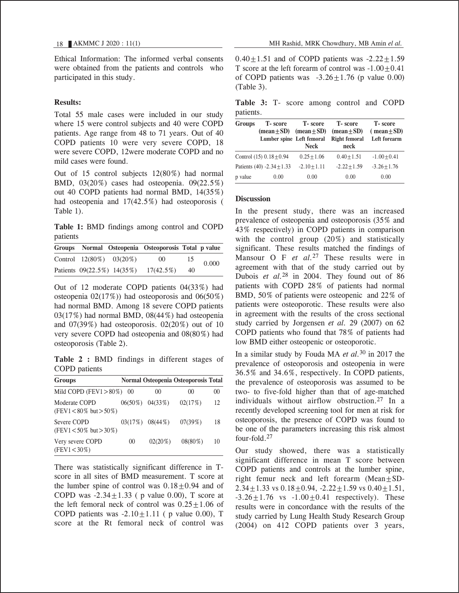Ethical Information: The informed verbal consents were obtained from the patients and controls who participated in this study.

#### **Results:**

Total 55 male cases were included in our study where 15 were control subjects and 40 were COPD patients. Age range from 48 to 71 years. Out of 40 COPD patients 10 were very severe COPD, 18 were severe COPD, 12were moderate COPD and no mild cases were found.

Out of 15 control subjects 12(80%) had normal BMD, 03(20%) cases had osteopenia. 09(22.5%) out 40 COPD patients had normal BMD, 14(35%) had osteopenia and 17(42.5%) had osteoporosis ( Table 1).

**Table 1:** BMD findings among control and COPD patients

|  |                                | Groups Normal Osteopenia Osteoporosis Total p value |    |       |
|--|--------------------------------|-----------------------------------------------------|----|-------|
|  | Control $12(80\%)$ $03(20\%)$  | 00                                                  | 15 | 0.000 |
|  | Patients $09(22.5\%) 14(35\%)$ | $17(42.5\%)$                                        | 40 |       |

Out of 12 moderate COPD patients 04(33%) had osteopenia  $02(17%)$  had osteoporosis and  $06(50%)$ had normal BMD. Among 18 severe COPD patients 03(17%) had normal BMD, 08(44%) had osteopenia and 07(39%) had osteoporosis. 02(20%) out of 10 very severe COPD had osteopenia and 08(80%) had osteoporosis (Table 2).

**Table 2 :** BMD findings in different stages of COPD patients

| <b>Groups</b>                                 |          |                       | Normal Osteopenia Osteoporosis Total |    |
|-----------------------------------------------|----------|-----------------------|--------------------------------------|----|
| Mild COPD (FEV1 $>80\%$ )                     | $($ $)($ | 00                    | 00                                   | 00 |
| Moderate COPD<br>$(FEV1 < 80\%$ but $> 50\%)$ |          | $06(50\%)$ 04(33%)    | 02(17%)                              | 12 |
| Severe COPD<br>(FEV1 < $50\%$ but > $30\%$ )  |          | $03(17\%)$ $08(44\%)$ | 07(39%)                              | 18 |
| Very severe COPD<br>$(FEV1 < 30\%)$           | 00       | $02(20\%)$            | $08(80\%)$                           | 10 |

There was statistically significant difference in Tscore in all sites of BMD measurement. T score at the lumber spine of control was  $0.18+0.94$  and of COPD was  $-2.34 \pm 1.33$  ( p value 0.00), T score at the left femoral neck of control was  $0.25 \pm 1.06$  of COPD patients was  $-2.10 \pm 1.11$  ( p value 0.00), T score at the Rt femoral neck of control was

 $0.40 \pm 1.51$  and of COPD patients was  $-2.22 \pm 1.59$ T score at the left forearm of control was  $-1.00+0.41$ of COPD patients was  $-3.26+1.76$  (p value 0.00) (Table 3).

**Table 3:** T- score among control and COPD patients.

| Groups  | <b>T</b> -score<br>$mean + SD$<br>Lumber spine Left femoral | <b>T</b> -score<br>$mean \pm SD$<br><b>Neck</b> | <b>T</b> -score<br>$mean \pm SD$<br><b>Right femoral</b><br>neck | <b>T</b> -score<br>$(mean \pm SD)$<br>Left forearm |
|---------|-------------------------------------------------------------|-------------------------------------------------|------------------------------------------------------------------|----------------------------------------------------|
|         | Control $(15)$ $0.18 + 0.94$                                | $0.25 + 1.06$                                   | $0.40 + 1.51$                                                    | $-1.00 + 0.41$                                     |
|         | Patients (40) -2.34 $\pm$ 1.33                              | $-2.10 + 1.11$                                  | $-2.22 + 1.59$                                                   | $-3.26 + 1.76$                                     |
| p value | 0.00                                                        | 0.00                                            | 0.00                                                             | 0.00                                               |

#### **Discussion**

In the present study, there was an increased prevalence of osteopenia and osteoporosis (35% and 43% respectively) in COPD patients in comparison with the control group (20%) and statistically significant. These results matched the findings of Mansour O F *et al.*27 These results were in agreement with that of the study carried out by Dubois *et al.*28 in 2004. They found out of 86 patients with COPD 28% of patients had normal BMD, 50% of patients were osteopenic and 22% of patients were osteoporotic. These results were also in agreement with the results of the cross sectional study carried by Jorgensen *et al.* 29 (2007) on 62 COPD patients who found that 78% of patients had low BMD either osteopenic or osteoporotic.

In a similar study by Fouda MA *et al.*30 in 2017 the prevalence of osteoporosis and osteopenia in were 36.5% and 34.6%, respectively. In COPD patients, the prevalence of osteoporosis was assumed to be two- to five-fold higher than that of age-matched individuals without airflow obstruction.27 In a recently developed screening tool for men at risk for osteoporosis, the presence of COPD was found to be one of the parameters increasing this risk almost four-fold.27

Our study showed, there was a statistically significant difference in mean T score between COPD patients and controls at the lumber spine, right femur neck and left forearm  $(Mean + SD -$ 2.34 $\pm$ 1.33 vs 0.18 $\pm$ 0.94, -2.22 $\pm$ 1.59 vs 0.40 $\pm$ 1.51,  $-3.26 \pm 1.76$  vs  $-1.00 \pm 0.41$  respectively). These results were in concordance with the results of the study carried by Lung Health Study Research Group (2004) on 412 COPD patients over 3 years,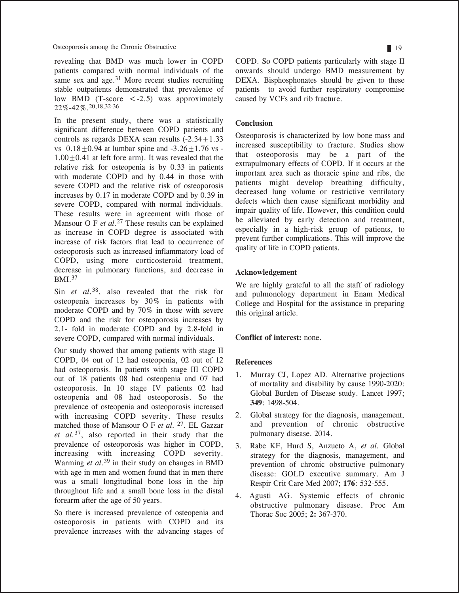revealing that BMD was much lower in COPD patients compared with normal individuals of the same sex and age.<sup>31</sup> More recent studies recruiting stable outpatients demonstrated that prevalence of low BMD (T-score  $\langle -2.5 \rangle$  was approximately 22%-42%.20,18,32-36

In the present study, there was a statistically significant difference between COPD patients and controls as regards DEXA scan results  $(-2.34 \pm 1.33)$ vs  $0.18 \pm 0.94$  at lumbar spine and  $-3.26 \pm 1.76$  vs - $1.00+0.41$  at left fore arm). It was revealed that the relative risk for osteopenia is by 0.33 in patients with moderate COPD and by 0.44 in those with severe COPD and the relative risk of osteoporosis increases by 0.17 in moderate COPD and by 0.39 in severe COPD, compared with normal individuals. These results were in agreement with those of Mansour O F *et al.*<sup>27</sup> These results can be explained as increase in COPD degree is associated with increase of risk factors that lead to occurrence of osteoporosis such as increased inflammatory load of COPD, using more corticosteroid treatment, decrease in pulmonary functions, and decrease in BMI.37

Sin *et al.*38, also revealed that the risk for osteopenia increases by 30% in patients with moderate COPD and by 70% in those with severe COPD and the risk for osteoporosis increases by 2.1- fold in moderate COPD and by 2.8-fold in severe COPD, compared with normal individuals.

Our study showed that among patients with stage II COPD, 04 out of 12 had osteopenia, 02 out of 12 had osteoporosis. In patients with stage III COPD out of 18 patients 08 had osteopenia and 07 had osteoporosis. In 10 stage IV patients 02 had osteopenia and 08 had osteoporosis. So the prevalence of osteopenia and osteoporosis increased with increasing COPD severity. These results matched those of Mansour O F *et al.* 27. EL Gazzar *et al.*37, also reported in their study that the prevalence of osteoporosis was higher in COPD, increasing with increasing COPD severity. Warming *et al.*39 in their study on changes in BMD with age in men and women found that in men there was a small longitudinal bone loss in the hip throughout life and a small bone loss in the distal forearm after the age of 50 years.

So there is increased prevalence of osteopenia and osteoporosis in patients with COPD and its prevalence increases with the advancing stages of COPD. So COPD patients particularly with stage II onwards should undergo BMD measurement by DEXA. Bisphosphonates should be given to these patients to avoid further respiratory compromise caused by VCFs and rib fracture.

# **Conclusion**

Osteoporosis is characterized by low bone mass and increased susceptibility to fracture. Studies show that osteoporosis may be a part of the extrapulmonary effects of COPD. If it occurs at the important area such as thoracic spine and ribs, the patients might develop breathing difficulty, decreased lung volume or restrictive ventilatory defects which then cause significant morbidity and impair quality of life. However, this condition could be alleviated by early detection and treatment, especially in a high-risk group of patients, to prevent further complications. This will improve the quality of life in COPD patients.

# **Acknowledgement**

We are highly grateful to all the staff of radiology and pulmonology department in Enam Medical College and Hospital for the assistance in preparing this original article.

# **Conflict of interest:** none.

# **References**

- 1. Murray CJ, Lopez AD. Alternative projections of mortality and disability by cause 1990-2020: Global Burden of Disease study. Lancet 1997; **349**: 1498-504.
- 2. Global strategy for the diagnosis, management, and prevention of chronic obstructive pulmonary disease. 2014.
- 3. Rabe KF, Hurd S, Anzueto A, *et al.* Global strategy for the diagnosis, management, and prevention of chronic obstructive pulmonary disease: GOLD executive summary. Am J Respir Crit Care Med 2007; **176**: 532-555.
- 4. Agusti AG. Systemic effects of chronic obstructive pulmonary disease. Proc Am Thorac Soc 2005; **2:** 367-370.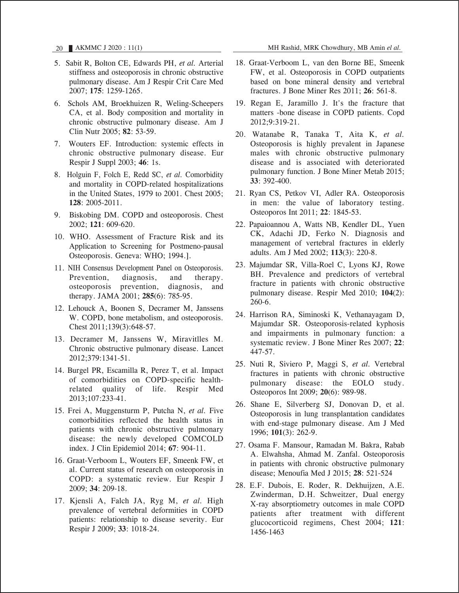- 5. Sabit R, Bolton CE, Edwards PH, *et al.* Arterial stiffness and osteoporosis in chronic obstructive pulmonary disease. Am J Respir Crit Care Med 2007; **175**: 1259-1265.
- 6. Schols AM, Broekhuizen R, Weling-Scheepers CA, et al. Body composition and mortality in chronic obstructive pulmonary disease. Am J Clin Nutr 2005; **82**: 53-59.
- 7. Wouters EF. Introduction: systemic effects in chronic obstructive pulmonary disease. Eur Respir J Suppl 2003; **46**: 1s.
- 8. Holguin F, Folch E, Redd SC, *et al.* Comorbidity and mortality in COPD-related hospitalizations in the United States, 1979 to 2001. Chest 2005; **128**: 2005-2011.
- 9. Biskobing DM. COPD and osteoporosis. Chest 2002; **121**: 609-620.
- 10. WHO. Assessment of Fracture Risk and its Application to Screening for Postmeno-pausal Osteoporosis. Geneva: WHO; 1994.].
- 11. NIH Consensus Development Panel on Osteoporosis. Prevention, diagnosis, and therapy. osteoporosis prevention, diagnosis, and therapy. JAMA 2001; **285**(6): 785-95.
- 12. Lehouck A, Boonen S, Decramer M, Janssens W. COPD, bone metabolism, and osteoporosis. Chest 2011;139(3):648-57.
- 13. Decramer M, Janssens W, Miravitlles M. Chronic obstructive pulmonary disease. Lancet 2012;379:1341-51.
- 14. Burgel PR, Escamilla R, Perez T, et al. Impact of comorbidities on COPD-specific healthrelated quality of life. Respir Med 2013;107:233-41.
- 15. Frei A, Muggensturm P, Putcha N, *et al.* Five comorbidities reflected the health status in patients with chronic obstructive pulmonary disease: the newly developed COMCOLD index. J Clin Epidemiol 2014; **67**: 904-11.
- 16. Graat-Verboom L, Wouters EF, Smeenk FW, et al. Current status of research on osteoporosis in COPD: a systematic review. Eur Respir J 2009; **34**: 209-18.
- 17. Kjensli A, Falch JA, Ryg M, *et al.* High prevalence of vertebral deformities in COPD patients: relationship to disease severity. Eur Respir J 2009; **33**: 1018-24.
- 18. Graat-Verboom L, van den Borne BE, Smeenk FW, et al. Osteoporosis in COPD outpatients based on bone mineral density and vertebral fractures. J Bone Miner Res 2011; **26**: 561-8.
- 19. Regan E, Jaramillo J. It's the fracture that matters -bone disease in COPD patients. Copd 2012;9:319-21.
- 20. Watanabe R, Tanaka T, Aita K, *et al.* Osteoporosis is highly prevalent in Japanese males with chronic obstructive pulmonary disease and is associated with deteriorated pulmonary function. J Bone Miner Metab 2015; **33**: 392-400.
- 21. Ryan CS, Petkov VI, Adler RA. Osteoporosis in men: the value of laboratory testing. Osteoporos Int 2011; **22**: 1845-53.
- 22. Papaioannou A, Watts NB, Kendler DL, Yuen CK, Adachi JD, Ferko N. Diagnosis and management of vertebral fractures in elderly adults. Am J Med 2002; **113**(3): 220-8.
- 23. Majumdar SR, Villa-Roel C, Lyons KJ, Rowe BH. Prevalence and predictors of vertebral fracture in patients with chronic obstructive pulmonary disease. Respir Med 2010; **104**(2): 260-6.
- 24. Harrison RA, Siminoski K, Vethanayagam D, Majumdar SR. Osteoporosis-related kyphosis and impairments in pulmonary function: a systematic review. J Bone Miner Res 2007; **22**: 447-57.
- 25. Nuti R, Siviero P, Maggi S, *et al.* Vertebral fractures in patients with chronic obstructive pulmonary disease: the EOLO study. Osteoporos Int 2009; **20**(6): 989-98.
- 26. Shane E, Silverberg SJ, Donovan D, et al. Osteoporosis in lung transplantation candidates with end-stage pulmonary disease. Am J Med 1996; **101**(3): 262-9.
- 27. Osama F. Mansour, Ramadan M. Bakra, Rabab A. Elwahsha, Ahmad M. Zanfal. Osteoporosis in patients with chronic obstructive pulmonary disease; Menoufia Med J 2015; **28**: 521-524
- 28. E.F. Dubois, E. Roder, R. Dekhuijzen, A.E. Zwinderman, D.H. Schweitzer, Dual energy X-ray absorptiometry outcomes in male COPD patients after treatment with different glucocorticoid regimens, Chest 2004; **121**: 1456-1463